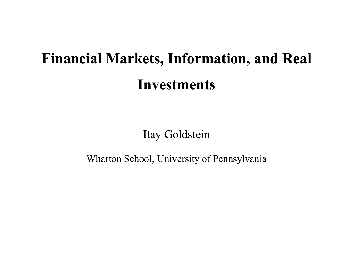# **Financial Markets, Information, and Real Investments**

Itay Goldstein

Wharton School, University of Pennsylvania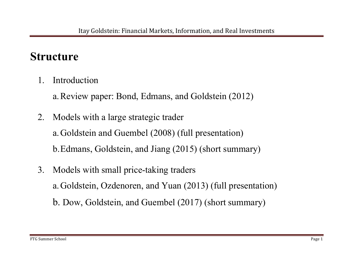## **Structure**

1. Introduction

a.Review paper: Bond, Edmans, and Goldstein (2012)

2. Models with a large strategic trader

a.Goldstein and Guembel (2008) (full presentation)

b.Edmans, Goldstein, and Jiang (2015) (short summary)

3. Models with small price-taking traders a.Goldstein, Ozdenoren, and Yuan (2013) (full presentation) b. Dow, Goldstein, and Guembel (2017) (short summary)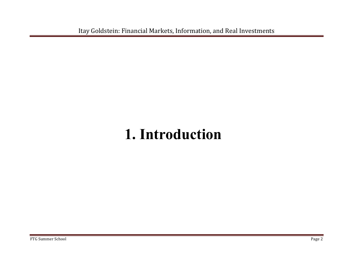Itay Goldstein: Financial Markets, Information, and Real Investments

## **1. Introduction**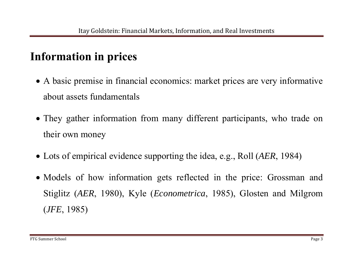## **Information in prices**

- A basic premise in financial economics: market prices are very informative about assets fundamentals
- They gather information from many different participants, who trade on their own money
- Lots of empirical evidence supporting the idea, e.g., Roll (*AER*, 1984)
- Models of how information gets reflected in the price: Grossman and Stiglitz (*AER*, 1980), Kyle (*Econometrica*, 1985), Glosten and Milgrom (*JFE*, 1985)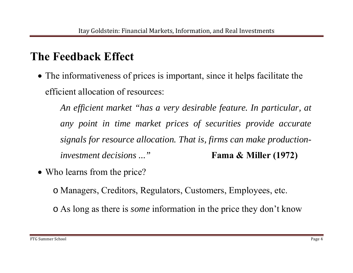## **The Feedback Effect**

 The informativeness of prices is important, since it helps facilitate the efficient allocation of resources:

*An efficient market "has a very desirable feature. In particular, at any point in time market prices of securities provide accurate signals for resource allocation. That is, firms can make productioninvestment decisions ...*" **Fama & Miller (1972)** 

• Who learns from the price?

o Managers, Creditors, Regulators, Customers, Employees, etc.

o As long as there is *some* information in the price they don't know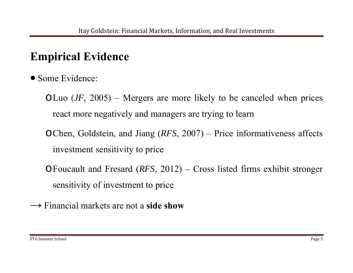## **Empirical Evidence**

- Some Evidence:
	- <sup>o</sup>Luo (*JF*, 2005) Mergers are more likely to be canceled when prices react more negatively and managers are trying to learn
	- <sup>o</sup>Chen, Goldstein, and Jiang (*RFS*, 2007) Price informativeness affects investment sensitivity to price
	- <sup>o</sup>Foucault and Fresard (*RFS*, 2012) Cross listed firms exhibit stronger sensitivity of investment to price
- **→** Financial markets are not a **side show**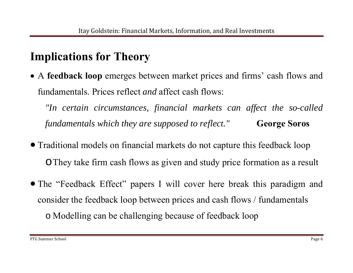## **Implications for Theory**

 A **feedback loop** emerges between market prices and firms' cash flows and fundamentals. Prices reflect *and* affect cash flows:

*"In certain circumstances, financial markets can affect the so-called fundamentals which they are supposed to reflect."* **George Soros** 

- Traditional models on financial markets do not capture this feedback loop <sup>o</sup>They take firm cash flows as given and study price formation as a result
- The "Feedback Effect" papers I will cover here break this paradigm and consider the feedback loop between prices and cash flows / fundamentals o Modelling can be challenging because of feedback loop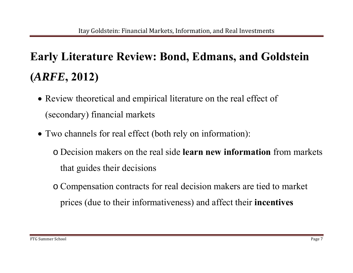## **Early Literature Review: Bond, Edmans, and Goldstein (***ARFE***, 2012)**

- Review theoretical and empirical literature on the real effect of (secondary) financial markets
- Two channels for real effect (both rely on information):

o Decision makers on the real side **learn new information** from markets that guides their decisions

o Compensation contracts for real decision makers are tied to market prices (due to their informativeness) and affect their **incentives**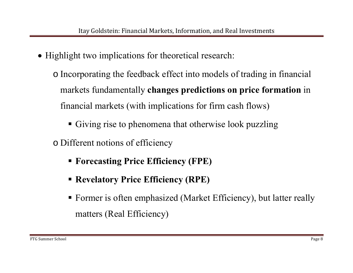- Highlight two implications for theoretical research:
	- o Incorporating the feedback effect into models of trading in financial markets fundamentally **changes predictions on price formation** in financial markets (with implications for firm cash flows)
		- Giving rise to phenomena that otherwise look puzzling
	- o Different notions of efficiency
		- **Forecasting Price Efficiency (FPE)**
		- **Revelatory Price Efficiency (RPE)**
		- Former is often emphasized (Market Efficiency), but latter really matters (Real Efficiency)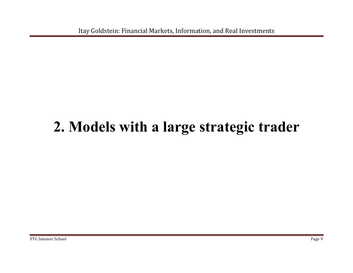Itay Goldstein: Financial Markets, Information, and Real Investments

## **2. Models with a large strategic trader**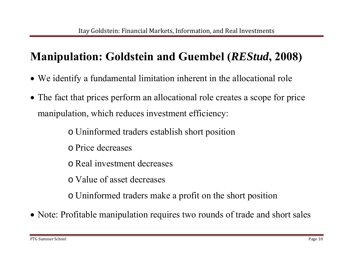## **Manipulation: Goldstein and Guembel (***REStud***, 2008)**

- We identify a fundamental limitation inherent in the allocational role
- The fact that prices perform an allocational role creates a scope for price manipulation, which reduces investment efficiency:

o Uninformed traders establish short position

o Price decreases

o Real investment decreases

o Value of asset decreases

o Uninformed traders make a profit on the short position

• Note: Profitable manipulation requires two rounds of trade and short sales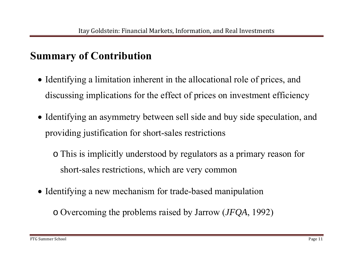## **Summary of Contribution**

- Identifying a limitation inherent in the allocational role of prices, and discussing implications for the effect of prices on investment efficiency
- Identifying an asymmetry between sell side and buy side speculation, and providing justification for short-sales restrictions
	- o This is implicitly understood by regulators as a primary reason for short-sales restrictions, which are very common
- Identifying a new mechanism for trade-based manipulation
	- o Overcoming the problems raised by Jarrow (*JFQA*, 1992)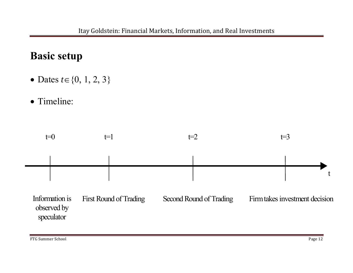## **Basic setup**

- Dates  $t \in \{0, 1, 2, 3\}$
- Timeline:

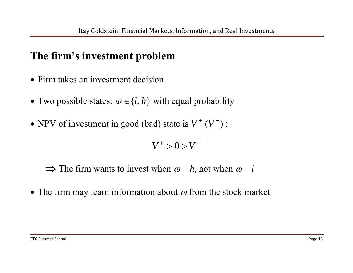### **The firm's investment problem**

- Firm takes an investment decision
- Two possible states:  $\omega \in \{l, h\}$  with equal probability
- NPV of investment in good (bad) state is  $V^+ (V^-)$ :

 $V^+ > 0 > V^-$ 

 $\Rightarrow$  The firm wants to invest when  $\omega = h$ , not when  $\omega = l$ 

• The firm may learn information about  $\omega$  from the stock market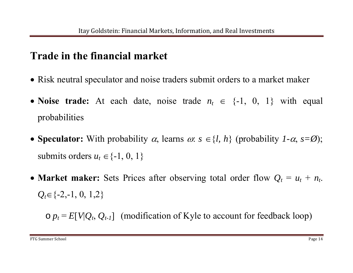### **Trade in the financial market**

- Risk neutral speculator and noise traders submit orders to a market maker
- Noise trade: At each date, noise trade  $n_t \in \{-1, 0, 1\}$  with equal probabilities
- **Speculator:** With probability  $\alpha$ , learns  $\alpha$ :  $s \in \{l, h\}$  (probability *1-* $\alpha$ ,  $s = \emptyset$ ); submits orders  $u_t \in \{ -1, 0, 1 \}$
- Market maker: Sets Prices after observing total order flow  $Q_t = u_t + n_t$ .  $Q_t \in \{ -2, -1, 0, 1, 2 \}$

 $\circ$   $p_t$  =  $E[V|Q_t, Q_{t-1}]$  (modification of Kyle to account for feedback loop)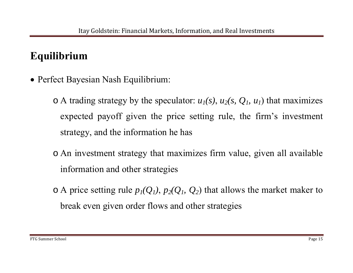## **Equilibrium**

Perfect Bayesian Nash Equilibrium:

 $\circ$  A trading strategy by the speculator:  $u_1(s)$ ,  $u_2(s, Q_1, u_1)$  that maximizes expected payoff given the price setting rule, the firm's investment strategy, and the information he has

- o An investment strategy that maximizes firm value, given all available information and other strategies
- $\circ$  A price setting rule  $p_1(Q_1)$ ,  $p_2(Q_1, Q_2)$  that allows the market maker to break even given order flows and other strategies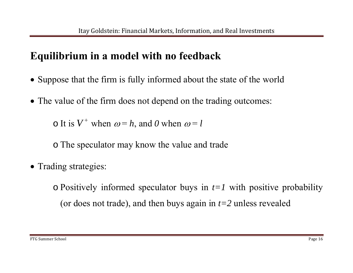## **Equilibrium in a model with no feedback**

- Suppose that the firm is fully informed about the state of the world
- The value of the firm does not depend on the trading outcomes:

 $\circ$  It is  $V^+$  when  $\omega = h$ , and *0* when  $\omega = l$ 

o The speculator may know the value and trade

• Trading strategies:

o Positively informed speculator buys in *t=1* with positive probability (or does not trade), and then buys again in *t=2* unless revealed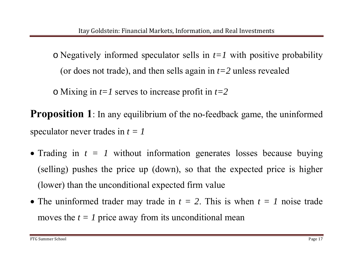o Negatively informed speculator sells in *t=1* with positive probability (or does not trade), and then sells again in *t=2* unless revealed

o Mixing in *t=1* serves to increase profit in *t=2*

**Proposition 1**: In any equilibrium of the no-feedback game, the uninformed speculator never trades in  $t = 1$ 

- Trading in *t = 1* without information generates losses because buying (selling) pushes the price up (down), so that the expected price is higher (lower) than the unconditional expected firm value
- The uninformed trader may trade in  $t = 2$ . This is when  $t = 1$  noise trade moves the  $t = 1$  price away from its unconditional mean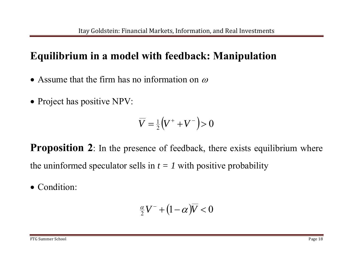#### **Equilibrium in a model with feedback: Manipulation**

- Assume that the firm has no information on  $\omega$
- Project has positive NPV:

$$
\overline{V} = \frac{1}{2} (V^+ + V^-) > 0
$$

**Proposition 2**: In the presence of feedback, there exists equilibrium where the uninformed speculator sells in  $t = 1$  with positive probability

• Condition:

$$
\tfrac{\alpha}{2}V^-+(1-\alpha)\overline{V}<0
$$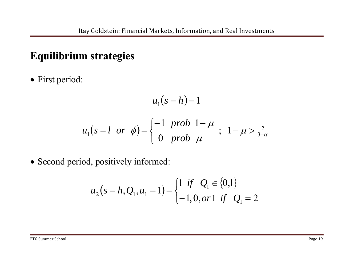#### **Equilibrium strategies**

• First period:

$$
u_1(s=h) = 1
$$
  

$$
u_1(s=l \text{ or } \phi) = \begin{cases} -1 \text{ prob } 1-\mu \\ 0 \text{ prob } \mu \end{cases}; \quad 1-\mu > \frac{2}{3-\alpha}
$$

• Second period, positively informed:

$$
u_2(s=h, Q_1, u_1=1) = \begin{cases} 1 & \text{if } Q_1 \in \{0,1\} \\ -1, 0, or 1 & \text{if } Q_1 = 2 \end{cases}
$$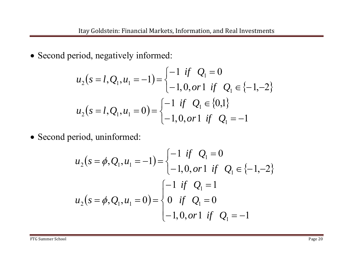• Second period, negatively informed:

$$
u_2(s=l, Q_1, u_1=-1) = \begin{cases} -1 & \text{if } Q_1 = 0\\ -1, 0, \text{or} 1 & \text{if } Q_1 \in \{-1, -2\} \end{cases}
$$
  

$$
u_2(s=l, Q_1, u_1=0) = \begin{cases} -1 & \text{if } Q_1 \in \{0, 1\} \\ -1, 0, \text{or} 1 & \text{if } Q_1 = -1 \end{cases}
$$

• Second period, uninformed:

$$
u_2(s = \phi, Q_1, u_1 = -1) = \begin{cases} -1 & \text{if } Q_1 = 0 \\ -1, 0, \text{or} 1 & \text{if } Q_1 \in \{-1, -2\} \end{cases}
$$
  

$$
u_2(s = \phi, Q_1, u_1 = 0) = \begin{cases} -1 & \text{if } Q_1 = 1 \\ 0 & \text{if } Q_1 = 0 \\ -1, 0, \text{or} 1 & \text{if } Q_1 = -1 \end{cases}
$$

FTG Summer School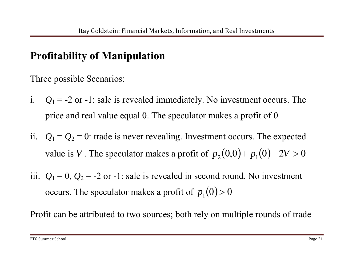## **Profitability of Manipulation**

Three possible Scenarios:

- i.  $Q_1 = -2$  or  $-1$ : sale is revealed immediately. No investment occurs. The price and real value equal 0. The speculator makes a profit of 0
- ii.  $Q_1 = Q_2 = 0$ : trade is never revealing. Investment occurs. The expected value is  $\overline{V}$  . The speculator makes a profit of  $p_2(0,0) + p_1(0) - 2\overline{V} > 0$
- iii.  $Q_1 = 0$ ,  $Q_2 = -2$  or  $-1$ : sale is revealed in second round. No investment occurs. The speculator makes a profit of  $p_{1}(0)\!>\!0$

Profit can be attributed to two sources; both rely on multiple rounds of trade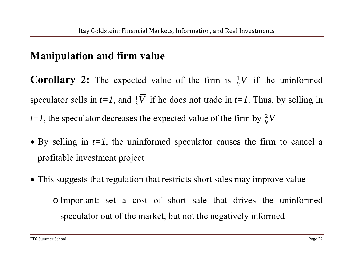### **Manipulation and firm value**

**Corollary 2:** The expected value of the firm is  $\frac{1}{9}\overline{V}$  if the uninformed speculator sells in  $t=1$ , and  $\frac{1}{3}V$  if he does not trade in  $t=1$ . Thus, by selling in *t*=1, the speculator decreases the expected value of the firm by  $\frac{2}{9}V$ 

- By selling in *t=1*, the uninformed speculator causes the firm to cancel a profitable investment project
- This suggests that regulation that restricts short sales may improve value

o Important: set a cost of short sale that drives the uninformed speculator out of the market, but not the negatively informed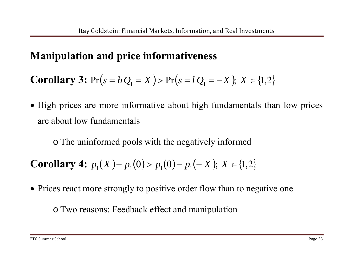### **Manipulation and price informativeness**

**Corollary 3:**  $Pr(s = h|Q_1 = X) > Pr(s = l|Q_1 = -X); X \in \{1,2\}$ 

• High prices are more informative about high fundamentals than low prices are about low fundamentals

o The uninformed pools with the negatively informed

**Corollary 4:**  $p_1(X) - p_1(0) > p_1(0) - p_1(-X)$ ;  $X \in \{1,2\}$ 

• Prices react more strongly to positive order flow than to negative one

o Two reasons: Feedback effect and manipulation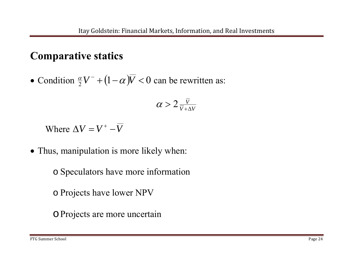#### **Comparative statics**

 $\bullet$ • Condition  $\frac{\alpha}{2} V^- + (1 - \alpha) \overline{V} < 0$  can be rewritten as:

$$
\alpha > 2 \tfrac{\bar{V}}{\bar{V} + \Delta V}
$$

Where  $\Delta V = V^+ - V$ 

• Thus, manipulation is more likely when:

o Speculators have more information

o Projects have lower NPV

oProjects are more uncertain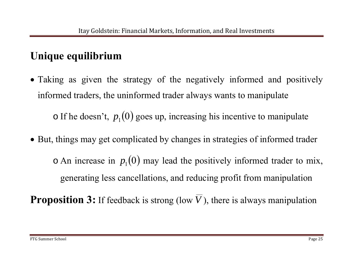## **Unique equilibrium**

- Taking as given the strategy of the negatively informed and positively informed traders, the uninformed trader always wants to manipulate  $\circ$  If he doesn't,  $p_1(0)$  goes up, increasing his incentive to manipulate
- But, things may get complicated by changes in strategies of informed trader  $\circ$  An increase in  $p_1(0)$  may lead the positively informed trader to mix, generating less cancellations, and reducing profit from manipulation

**Proposition 3:** If feedback is strong (low  $\overline{V}$ ), there is always manipulation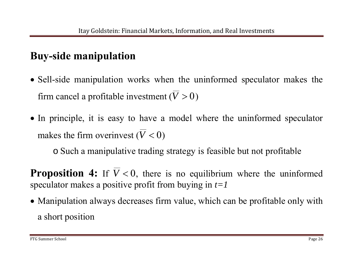## **Buy-side manipulation**

- Sell-side manipulation works when the uninformed speculator makes the firm cancel a profitable investment  $(V > 0)$
- In principle, it is easy to have a model where the uninformed speculator makes the firm overinvest  $(\overline{V} < 0)$

o Such a manipulative trading strategy is feasible but not profitable

**Proposition 4:** If  $\overline{V}$  < 0, there is no equilibrium where the uninformed speculator makes a positive profit from buying in *t=1*

 Manipulation always decreases firm value, which can be profitable only with a short position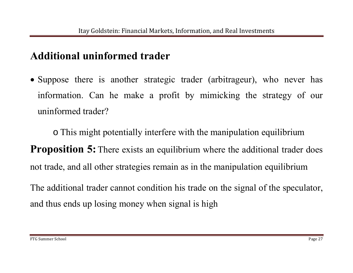#### **Additional uninformed trader**

• Suppose there is another strategic trader (arbitrageur), who never has information. Can he make a profit by mimicking the strategy of our uninformed trader?

o This might potentially interfere with the manipulation equilibrium **Proposition 5:** There exists an equilibrium where the additional trader does not trade, and all other strategies remain as in the manipulation equilibrium

The additional trader cannot condition his trade on the signal of the speculator, and thus ends up losing money when signal is high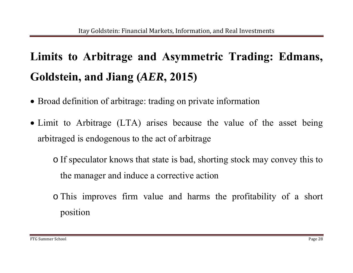## **Limits to Arbitrage and Asymmetric Trading: Edmans, Goldstein, and Jiang (***AER***, 2015)**

- Broad definition of arbitrage: trading on private information
- Limit to Arbitrage (LTA) arises because the value of the asset being arbitraged is endogenous to the act of arbitrage

o If speculator knows that state is bad, shorting stock may convey this to the manager and induce a corrective action

o This improves firm value and harms the profitability of a short position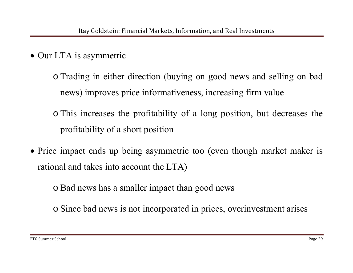• Our LTA is asymmetric

o Trading in either direction (buying on good news and selling on bad news) improves price informativeness, increasing firm value

o This increases the profitability of a long position, but decreases the profitability of a short position

• Price impact ends up being asymmetric too (even though market maker is rational and takes into account the LTA)

o Bad news has a smaller impact than good news

o Since bad news is not incorporated in prices, overinvestment arises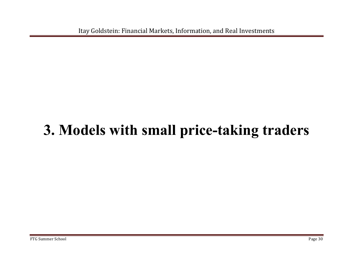Itay Goldstein: Financial Markets, Information, and Real Investments

## **3. Models with small price-taking traders**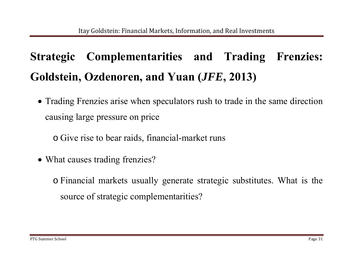## **Strategic Complementarities and Trading Frenzies: Goldstein, Ozdenoren, and Yuan (***JFE***, 2013)**

 Trading Frenzies arise when speculators rush to trade in the same direction causing large pressure on price

o Give rise to bear raids, financial-market runs

• What causes trading frenzies?

o Financial markets usually generate strategic substitutes. What is the source of strategic complementarities?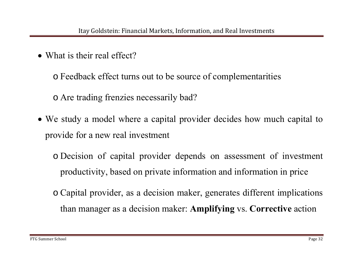• What is their real effect?

o Feedback effect turns out to be source of complementarities o Are trading frenzies necessarily bad?

 We study a model where a capital provider decides how much capital to provide for a new real investment

o Decision of capital provider depends on assessment of investment productivity, based on private information and information in price

o Capital provider, as a decision maker, generates different implications than manager as a decision maker: **Amplifying** vs. **Corrective** action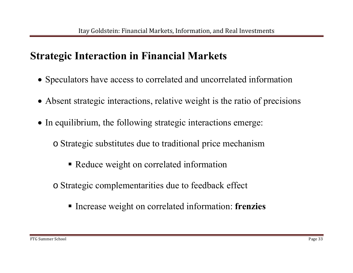### **Strategic Interaction in Financial Markets**

- Speculators have access to correlated and uncorrelated information
- Absent strategic interactions, relative weight is the ratio of precisions
- In equilibrium, the following strategic interactions emerge:
	- o Strategic substitutes due to traditional price mechanism
		- Reduce weight on correlated information
	- o Strategic complementarities due to feedback effect
		- **Increase weight on correlated information: frenzies**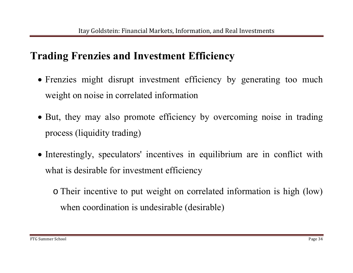### **Trading Frenzies and Investment Efficiency**

- Frenzies might disrupt investment efficiency by generating too much weight on noise in correlated information
- But, they may also promote efficiency by overcoming noise in trading process (liquidity trading)
- Interestingly, speculators' incentives in equilibrium are in conflict with what is desirable for investment efficiency

o Their incentive to put weight on correlated information is high (low) when coordination is undesirable (desirable)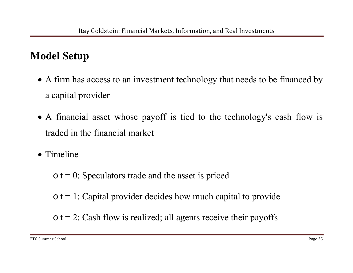## **Model Setup**

- A firm has access to an investment technology that needs to be financed by a capital provider
- A financial asset whose payoff is tied to the technology's cash flow is traded in the financial market
- Timeline

 $\circ$  t = 0: Speculators trade and the asset is priced

 $\circ$  t = 1: Capital provider decides how much capital to provide

 $\circ$  t = 2: Cash flow is realized; all agents receive their payoffs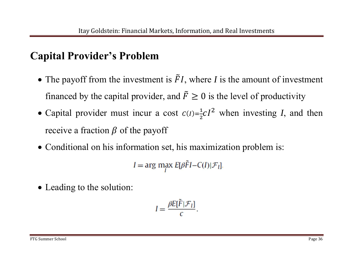### **Capital Provider's Problem**

- The payoff from the investment is  $\tilde{F}$  ܫ, where *I* is the amount of investment financed by the capital provider, and  $\tilde{F}$  $F \geq 0$  is the level of productivity
- Capital provider must incur a cost  $c(I) = \frac{1}{2}cI^2$  when investing *I*, and then receive a fraction  $\beta$  of the payoff
- Conditional on his information set, his maximization problem is:

$$
I = \arg \max_{I} E[\beta \tilde{F}I - C(I)|\mathcal{F}_I].
$$

• Leading to the solution:

$$
I = \frac{\beta E[\tilde{F}|\mathcal{F}_l]}{c}
$$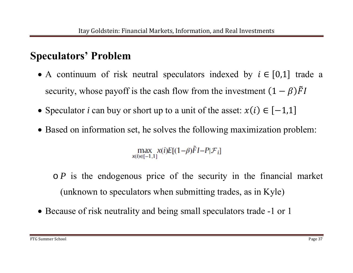#### **Speculators' Problem**

- A continuum of risk neutral speculators indexed by  $i \in [0,1]$  trade a security, whose payoff is the cash flow from the investment  $(1 - \beta)\tilde{F}I$
- Speculator *i* can buy or short up to a unit of the asset:  $x(i) \in [-1,1]$
- Based on information set, he solves the following maximization problem:

max  $x(i)E[(1-\beta)\tilde{F}I-P|\mathcal{F}_i]$ <br> $x(i)\in[-1,1]$ 

o *P* is the endogenous price of the security in the financial market (unknown to speculators when submitting trades, as in Kyle)

• Because of risk neutrality and being small speculators trade -1 or 1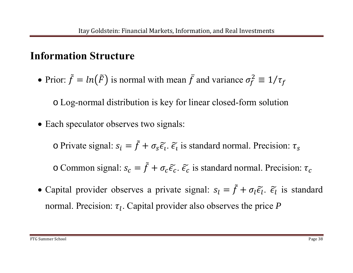#### **Information Structure**

• Prior:  $\tilde{f}$  ൌ $ln(\tilde{F})$  is normal with mean  $\bar{f}$  and variance  $\sigma_f^2 \equiv 1 / \tau_f$ 

o Log-normal distribution is key for linear closed-form solution

• Each speculator observes two signals:

 $\circ$  Private signal:  $s_i = \tilde{f}$  $f + \sigma_s \widetilde{\epsilon}_l$ .  $\widetilde{\epsilon}_l$  is standard normal. Precision:  $\tau_s$ 

 $\circ$  Common signal:  $s_c = \tilde{f}$  $\tau_f + \sigma_c \widetilde{\epsilon}_c$ .  $\widetilde{\epsilon}_c$  is standard normal. Precision:  $\tau_c$ 

• Capital provider observes a private signal:  $s_l = \tilde{f}$  $f + \sigma_l \widetilde{\epsilon}_l$ .  $\widetilde{\epsilon}_l$  is standard normal. Precision:  $\tau_l$ . Capital provider also observes the price *P*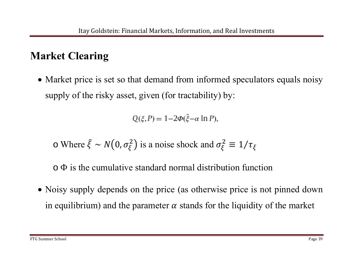## **Market Clearing**

• Market price is set so that demand from informed speculators equals noisy supply of the risky asset, given (for tractability) by:

 $Q(\xi, P) = 1 - 2\Phi(\tilde{\xi} - \alpha \ln P),$ 

 $\circ$  Where  $\tilde{\xi}$  ∼ $N(0, \sigma_{\xi}^2)$  is a noise shock and  $\sigma_{\xi}^2 \equiv 1/\tau_{\xi}$ 

o Φ is the cumulative standard normal distribution function

• Noisy supply depends on the price (as otherwise price is not pinned down in equilibrium) and the parameter  $\alpha$  stands for the liquidity of the market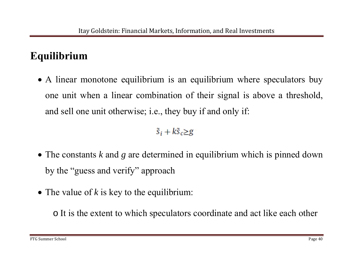### **Equilibrium**

• A linear monotone equilibrium is an equilibrium where speculators buy one unit when a linear combination of their signal is above a threshold, and sell one unit otherwise; i.e., they buy if and only if:

 $\tilde{s}_i + k \tilde{s}_c \geq g$ 

- The constants *k* and *g* are determined in equilibrium which is pinned down by the "guess and verify" approach
- The value of *k* is key to the equilibrium:

o It is the extent to which speculators coordinate and act like each other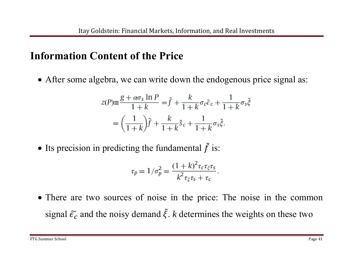#### **Information Content of the Price**

After some algebra, we can write down the endogenous price signal as:

$$
z(P) \equiv \frac{g + \alpha \sigma_s \ln P}{1 + k} = \tilde{f} + \frac{k}{1 + k} \sigma_c \tilde{\epsilon}_c + \frac{1}{1 + k} \sigma_s \tilde{\xi}
$$

$$
= \left(\frac{1}{1 + k}\right) \tilde{f} + \frac{k}{1 + k} \tilde{s}_c + \frac{1}{1 + k} \sigma_s \tilde{\xi}.
$$

• Its precision in predicting the fundamental  $\tilde{f}$ f is:

$$
\tau_p = 1/\sigma_p^2 = \frac{(1+k)^2 \tau_c \tau_{\xi} \tau_s}{k^2 \tau_{\xi} \tau_s + \tau_c}.
$$

• There are two sources of noise in the price: The noise in the common signal  $\tilde{\epsilon}_c$  and the noisy demand  $\tilde{\xi}$ . *k* determines the weights on these two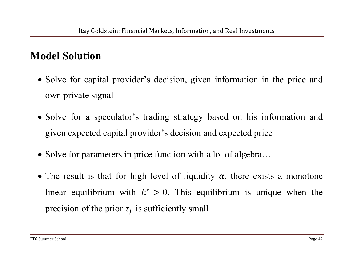#### **Model Solution**

- Solve for capital provider's decision, given information in the price and own private signal
- Solve for a speculator's trading strategy based on his information and given expected capital provider's decision and expected price
- Solve for parameters in price function with a lot of algebra...
- The result is that for high level of liquidity  $\alpha$ , there exists a monotone linear equilibrium with  $k^* > 0$ . This equilibrium is unique when the precision of the prior  $\tau_f$  is sufficiently small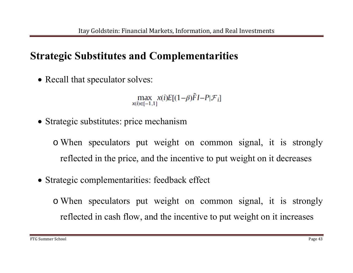#### **Strategic Substitutes and Complementarities**

• Recall that speculator solves:

max  $x(i)E[(1-\beta)\tilde{F}I-P|\mathcal{F}_i]$ <br> $x(i)\in[-1,1]$ 

• Strategic substitutes: price mechanism

o When speculators put weight on common signal, it is strongly reflected in the price, and the incentive to put weight on it decreases

Strategic complementarities: feedback effect

o When speculators put weight on common signal, it is strongly reflected in cash flow, and the incentive to put weight on it increases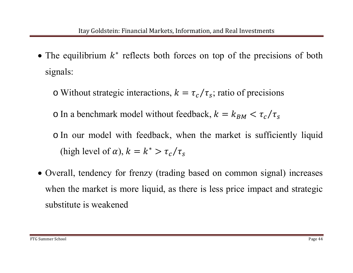- The equilibrium  $k^*$  reflects both forces on top of the precisions of both signals:
	- o Without strategic interactions,  $k = \tau_c / \tau_s$ ; ratio of precisions

o In a benchmark model without feedback,  $k = k_{BM} < \tau_c / \tau_s$ 

o In our model with feedback, when the market is sufficiently liquid (high level of  $\alpha$ ),  $k = k^* > \tau_c/\tau_s$ 

 Overall, tendency for frenzy (trading based on common signal) increases when the market is more liquid, as there is less price impact and strategic substitute is weakened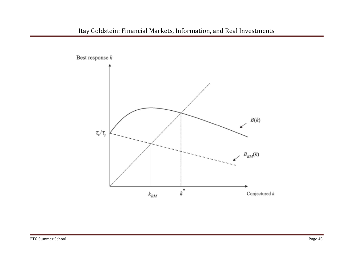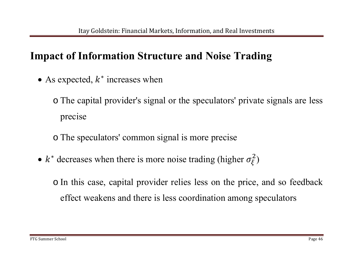#### **Impact of Information Structure and Noise Trading**

• As expected,  $k^*$  increases when

o The capital provider's signal or the speculators' private signals are less precise

o The speculators' common signal is more precise

 $\bullet$ •  $k^*$  decreases when there is more noise trading (higher  $\sigma_{\xi}^2$ )

o In this case, capital provider relies less on the price, and so feedback effect weakens and there is less coordination among speculators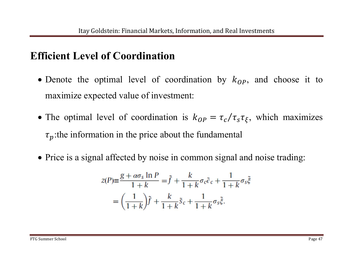#### **Efficient Level of Coordination**

- Denote the optimal level of coordination by  $k_{OP}$ , and choose it to maximize expected value of investment:
- The optimal level of coordination is  $k_{OP} = \tau_c / \tau_s \tau_{\xi}$ , which maximizes  $\tau_p$ :the information in the price about the fundamental
- Price is a signal affected by noise in common signal and noise trading:

$$
z(P) \equiv \frac{g + \alpha \sigma_s \ln P}{1 + k} = \tilde{f} + \frac{k}{1 + k} \sigma_c \tilde{\epsilon}_c + \frac{1}{1 + k} \sigma_s \tilde{\xi}
$$

$$
= \left(\frac{1}{1 + k}\right) \tilde{f} + \frac{k}{1 + k} \tilde{\delta}_c + \frac{1}{1 + k} \sigma_s \tilde{\xi}.
$$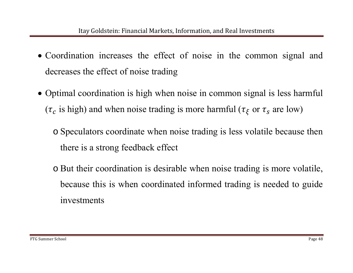- Coordination increases the effect of noise in the common signal and decreases the effect of noise trading
- Optimal coordination is high when noise in common signal is less harmful ( $\tau_c$  is high) and when noise trading is more harmful ( $\tau_{\xi}$  or  $\tau_s$  are low)
	- o Speculators coordinate when noise trading is less volatile because then there is a strong feedback effect
	- o But their coordination is desirable when noise trading is more volatile, because this is when coordinated informed trading is needed to guide investments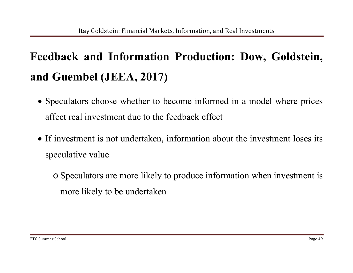## **Feedback and Information Production: Dow, Goldstein, and Guembel (JEEA, 2017)**

- Speculators choose whether to become informed in a model where prices affect real investment due to the feedback effect
- If investment is not undertaken, information about the investment loses its speculative value

o Speculators are more likely to produce information when investment is more likely to be undertaken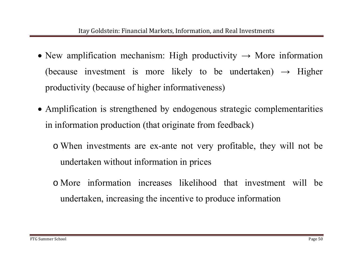- New amplification mechanism: High productivity  $\rightarrow$  More information (because investment is more likely to be undertaken)  $\rightarrow$  Higher productivity (because of higher informativeness)
- Amplification is strengthened by endogenous strategic complementarities in information production (that originate from feedback)
	- o When investments are ex-ante not very profitable, they will not be undertaken without information in prices
	- o More information increases likelihood that investment will be undertaken, increasing the incentive to produce information